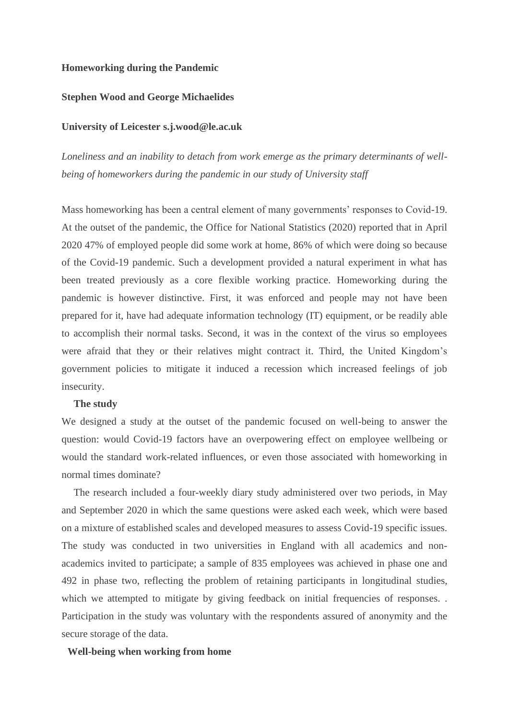# **Homeworking during the Pandemic**

#### **Stephen Wood and George Michaelides**

#### **University of Leicester s.j.wood@le.ac.uk**

*Loneliness and an inability to detach from work emerge as the primary determinants of wellbeing of homeworkers during the pandemic in our study of University staff*

Mass homeworking has been a central element of many governments' responses to Covid-19. At the outset of the pandemic, the Office for National Statistics (2020) reported that in April 2020 47% of employed people did some work at home, 86% of which were doing so because of the Covid-19 pandemic. Such a development provided a natural experiment in what has been treated previously as a core flexible working practice. Homeworking during the pandemic is however distinctive. First, it was enforced and people may not have been prepared for it, have had adequate information technology (IT) equipment, or be readily able to accomplish their normal tasks. Second, it was in the context of the virus so employees were afraid that they or their relatives might contract it. Third, the United Kingdom's government policies to mitigate it induced a recession which increased feelings of job insecurity.

#### **The study**

We designed a study at the outset of the pandemic focused on well-being to answer the question: would Covid-19 factors have an overpowering effect on employee wellbeing or would the standard work-related influences, or even those associated with homeworking in normal times dominate?

The research included a four-weekly diary study administered over two periods, in May and September 2020 in which the same questions were asked each week, which were based on a mixture of established scales and developed measures to assess Covid-19 specific issues. The study was conducted in two universities in England with all academics and nonacademics invited to participate; a sample of 835 employees was achieved in phase one and 492 in phase two, reflecting the problem of retaining participants in longitudinal studies, which we attempted to mitigate by giving feedback on initial frequencies of responses... Participation in the study was voluntary with the respondents assured of anonymity and the secure storage of the data.

# **Well-being when working from home**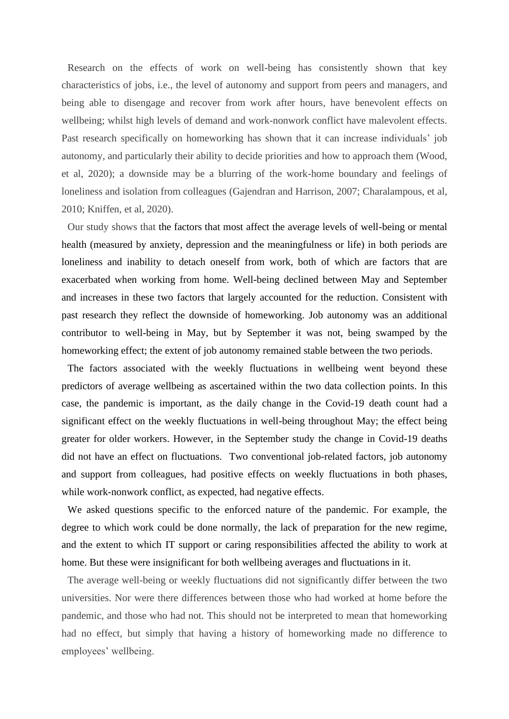Research on the effects of work on well-being has consistently shown that key characteristics of jobs, i.e., the level of autonomy and support from peers and managers, and being able to disengage and recover from work after hours, have benevolent effects on wellbeing; whilst high levels of demand and work-nonwork conflict have malevolent effects. Past research specifically on homeworking has shown that it can increase individuals' job autonomy, and particularly their ability to decide priorities and how to approach them (Wood, et al, 2020); a downside may be a blurring of the work-home boundary and feelings of loneliness and isolation from colleagues (Gajendran and Harrison, 2007; Charalampous, et al, 2010; Kniffen, et al, 2020).

Our study shows that the factors that most affect the average levels of well-being or mental health (measured by anxiety, depression and the meaningfulness or life) in both periods are loneliness and inability to detach oneself from work, both of which are factors that are exacerbated when working from home. Well-being declined between May and September and increases in these two factors that largely accounted for the reduction. Consistent with past research they reflect the downside of homeworking. Job autonomy was an additional contributor to well-being in May, but by September it was not, being swamped by the homeworking effect; the extent of job autonomy remained stable between the two periods.

The factors associated with the weekly fluctuations in wellbeing went beyond these predictors of average wellbeing as ascertained within the two data collection points. In this case, the pandemic is important, as the daily change in the Covid-19 death count had a significant effect on the weekly fluctuations in well-being throughout May; the effect being greater for older workers. However, in the September study the change in Covid-19 deaths did not have an effect on fluctuations. Two conventional job-related factors, job autonomy and support from colleagues, had positive effects on weekly fluctuations in both phases, while work-nonwork conflict, as expected, had negative effects.

We asked questions specific to the enforced nature of the pandemic. For example, the degree to which work could be done normally, the lack of preparation for the new regime, and the extent to which IT support or caring responsibilities affected the ability to work at home. But these were insignificant for both wellbeing averages and fluctuations in it.

The average well-being or weekly fluctuations did not significantly differ between the two universities. Nor were there differences between those who had worked at home before the pandemic, and those who had not. This should not be interpreted to mean that homeworking had no effect, but simply that having a history of homeworking made no difference to employees' wellbeing.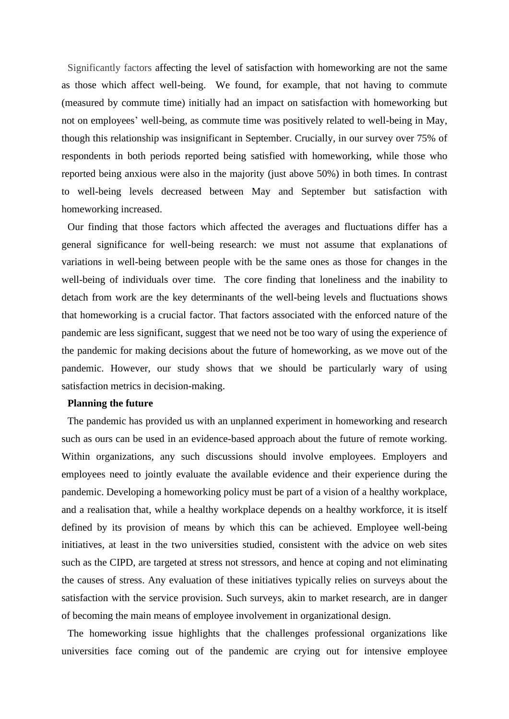Significantly factors affecting the level of satisfaction with homeworking are not the same as those which affect well-being. We found, for example, that not having to commute (measured by commute time) initially had an impact on satisfaction with homeworking but not on employees' well-being, as commute time was positively related to well-being in May, though this relationship was insignificant in September. Crucially, in our survey over 75% of respondents in both periods reported being satisfied with homeworking, while those who reported being anxious were also in the majority (just above 50%) in both times. In contrast to well-being levels decreased between May and September but satisfaction with homeworking increased.

Our finding that those factors which affected the averages and fluctuations differ has a general significance for well-being research: we must not assume that explanations of variations in well-being between people with be the same ones as those for changes in the well-being of individuals over time. The core finding that loneliness and the inability to detach from work are the key determinants of the well-being levels and fluctuations shows that homeworking is a crucial factor. That factors associated with the enforced nature of the pandemic are less significant, suggest that we need not be too wary of using the experience of the pandemic for making decisions about the future of homeworking, as we move out of the pandemic. However, our study shows that we should be particularly wary of using satisfaction metrics in decision-making.

# **Planning the future**

The pandemic has provided us with an unplanned experiment in homeworking and research such as ours can be used in an evidence-based approach about the future of remote working. Within organizations, any such discussions should involve employees. Employers and employees need to jointly evaluate the available evidence and their experience during the pandemic. Developing a homeworking policy must be part of a vision of a healthy workplace, and a realisation that, while a healthy workplace depends on a healthy workforce, it is itself defined by its provision of means by which this can be achieved. Employee well-being initiatives, at least in the two universities studied, consistent with the advice on web sites such as the CIPD, are targeted at stress not stressors, and hence at coping and not eliminating the causes of stress. Any evaluation of these initiatives typically relies on surveys about the satisfaction with the service provision. Such surveys, akin to market research, are in danger of becoming the main means of employee involvement in organizational design.

The homeworking issue highlights that the challenges professional organizations like universities face coming out of the pandemic are crying out for intensive employee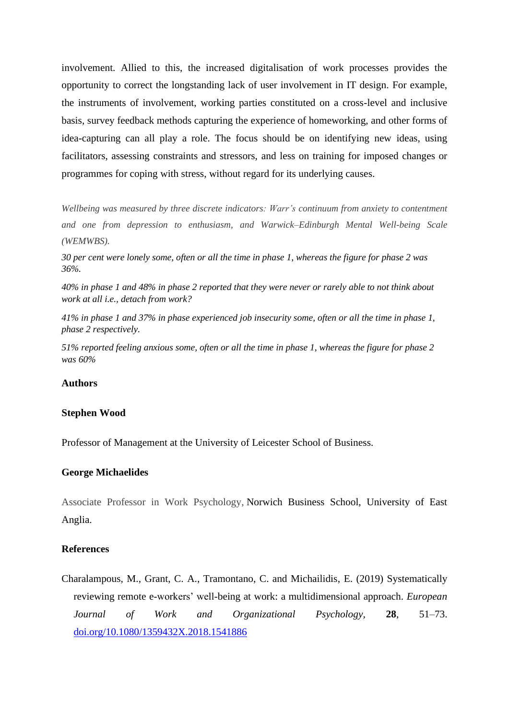involvement. Allied to this, the increased digitalisation of work processes provides the opportunity to correct the longstanding lack of user involvement in IT design. For example, the instruments of involvement, working parties constituted on a cross-level and inclusive basis, survey feedback methods capturing the experience of homeworking, and other forms of idea-capturing can all play a role. The focus should be on identifying new ideas, using facilitators, assessing constraints and stressors, and less on training for imposed changes or programmes for coping with stress, without regard for its underlying causes.

*Wellbeing was measured by three discrete indicators: Warr's continuum from anxiety to contentment and one from depression to enthusiasm, and Warwick–Edinburgh Mental Well-being Scale (WEMWBS).*

*30 per cent were lonely some, often or all the time in phase 1, whereas the figure for phase 2 was 36%.*

*40% in phase 1 and 48% in phase 2 reported that they were never or rarely able to not think about work at all i.e., detach from work?*

*41% in phase 1 and 37% in phase experienced job insecurity some, often or all the time in phase 1, phase 2 respectively.*

*51% reported feeling anxious some, often or all the time in phase 1, whereas the figure for phase 2 was 60%* 

# **Authors**

#### **Stephen Wood**

Professor of Management at the University of Leicester School of Business.

## **George Michaelides**

Associate Professor in Work Psychology, Norwich Business School, University of East Anglia.

# **References**

Charalampous, M., Grant, C. A., Tramontano, C. and Michailidis, E. (2019) Systematically reviewing remote e-workers' well-being at work: a multidimensional approach. *European Journal of Work and Organizational Psychology,* **28**, 51–73. [doi.org/10.1080/1359432X.2018.1541886](https://doi.org/10.1080/1359432X.2018.1541886)